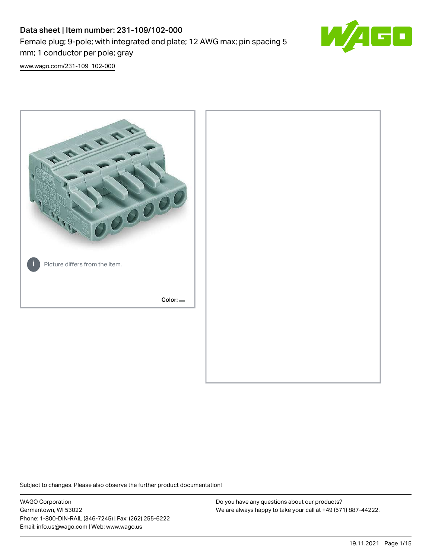## Data sheet | Item number: 231-109/102-000 Female plug; 9-pole; with integrated end plate; 12 AWG max; pin spacing 5 mm; 1 conductor per pole; gray



[www.wago.com/231-109\\_102-000](http://www.wago.com/231-109_102-000)



Subject to changes. Please also observe the further product documentation!

WAGO Corporation Germantown, WI 53022 Phone: 1-800-DIN-RAIL (346-7245) | Fax: (262) 255-6222 Email: info.us@wago.com | Web: www.wago.us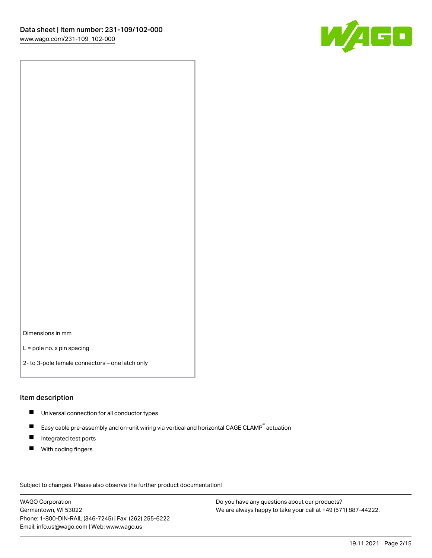

Dimensions in mm

L = pole no. x pin spacing

2- to 3-pole female connectors – one latch only

#### Item description

- **Universal connection for all conductor types**
- Easy cable pre-assembly and on-unit wiring via vertical and horizontal CAGE CLAMP<sup>®</sup> actuation  $\blacksquare$
- $\blacksquare$ Integrated test ports
- $\blacksquare$ With coding fingers

Subject to changes. Please also observe the further product documentation! Data

WAGO Corporation Germantown, WI 53022 Phone: 1-800-DIN-RAIL (346-7245) | Fax: (262) 255-6222 Email: info.us@wago.com | Web: www.wago.us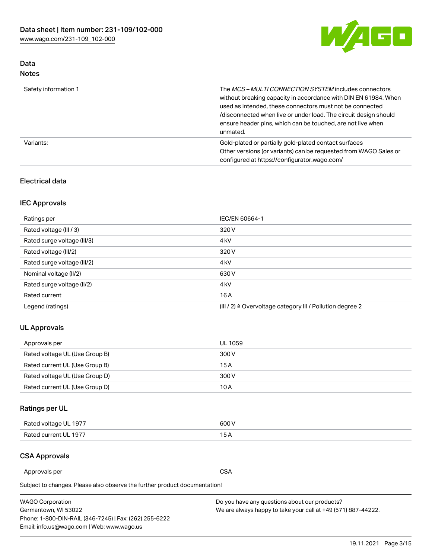

## Data Notes

| Safety information 1 | The MCS-MULTI CONNECTION SYSTEM includes connectors<br>without breaking capacity in accordance with DIN EN 61984. When<br>used as intended, these connectors must not be connected<br>/disconnected when live or under load. The circuit design should<br>ensure header pins, which can be touched, are not live when<br>unmated. |
|----------------------|-----------------------------------------------------------------------------------------------------------------------------------------------------------------------------------------------------------------------------------------------------------------------------------------------------------------------------------|
| Variants:            | Gold-plated or partially gold-plated contact surfaces<br>Other versions (or variants) can be requested from WAGO Sales or<br>configured at https://configurator.wago.com/                                                                                                                                                         |

## Electrical data

## IEC Approvals

| Ratings per                 | IEC/EN 60664-1                                                        |  |
|-----------------------------|-----------------------------------------------------------------------|--|
| Rated voltage (III / 3)     | 320 V                                                                 |  |
| Rated surge voltage (III/3) | 4 <sub>k</sub> V                                                      |  |
| Rated voltage (III/2)       | 320 V                                                                 |  |
| Rated surge voltage (III/2) | 4 <sub>k</sub> V                                                      |  |
| Nominal voltage (II/2)      | 630 V                                                                 |  |
| Rated surge voltage (II/2)  | 4 <sub>k</sub> V                                                      |  |
| Rated current               | 16A                                                                   |  |
| Legend (ratings)            | $(III / 2)$ $\triangle$ Overvoltage category III / Pollution degree 2 |  |

## UL Approvals

| Approvals per                  | UL 1059 |
|--------------------------------|---------|
| Rated voltage UL (Use Group B) | 300 V   |
| Rated current UL (Use Group B) | 15 A    |
| Rated voltage UL (Use Group D) | 300 V   |
| Rated current UL (Use Group D) | 10 A    |

## Ratings per UL

| Rated voltage UL 1977 | 600 V         |
|-----------------------|---------------|
| Rated current UL 1977 | $\sim$ $\sim$ |

## CSA Approvals

Approvals per CSA

Subject to changes. Please also observe the further product documentation!

| <b>WAGO Corporation</b>                                | Do you have any questions about our products?                 |
|--------------------------------------------------------|---------------------------------------------------------------|
| Germantown, WI 53022                                   | We are always happy to take your call at +49 (571) 887-44222. |
| Phone: 1-800-DIN-RAIL (346-7245)   Fax: (262) 255-6222 |                                                               |
| Email: info.us@wago.com   Web: www.wago.us             |                                                               |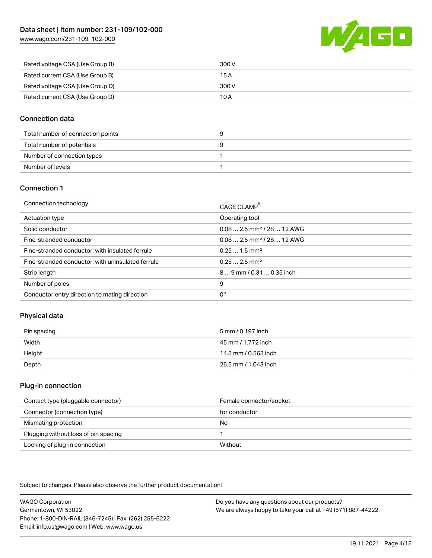[www.wago.com/231-109\\_102-000](http://www.wago.com/231-109_102-000)



| Rated voltage CSA (Use Group B) | 300 V |
|---------------------------------|-------|
| Rated current CSA (Use Group B) | 15 A  |
| Rated voltage CSA (Use Group D) | 300 V |
| Rated current CSA (Use Group D) | 10 A  |

### Connection data

| Total number of connection points |  |
|-----------------------------------|--|
| Total number of potentials        |  |
| Number of connection types        |  |
| Number of levels                  |  |

#### Connection 1

| Connection technology                             | CAGE CLAMP <sup>®</sup>                 |
|---------------------------------------------------|-----------------------------------------|
| Actuation type                                    | Operating tool                          |
| Solid conductor                                   | $0.08$ 2.5 mm <sup>2</sup> / 28  12 AWG |
| Fine-stranded conductor                           | $0.082.5$ mm <sup>2</sup> / 28  12 AWG  |
| Fine-stranded conductor; with insulated ferrule   | $0.251.5$ mm <sup>2</sup>               |
| Fine-stranded conductor; with uninsulated ferrule | $0.252.5$ mm <sup>2</sup>               |
| Strip length                                      | 89 mm / 0.31  0.35 inch                 |
| Number of poles                                   | 9                                       |
| Conductor entry direction to mating direction     | 0°                                      |

## Physical data

| Pin spacing | 5 mm / 0.197 inch    |
|-------------|----------------------|
| Width       | 45 mm / 1.772 inch   |
| Height      | 14.3 mm / 0.563 inch |
| Depth       | 26.5 mm / 1.043 inch |

#### Plug-in connection

| Contact type (pluggable connector)   | Female connector/socket |
|--------------------------------------|-------------------------|
| Connector (connection type)          | for conductor           |
| Mismating protection                 | No                      |
| Plugging without loss of pin spacing |                         |
| Locking of plug-in connection        | Without                 |

Subject to changes. Please also observe the further product documentation!

WAGO Corporation Germantown, WI 53022 Phone: 1-800-DIN-RAIL (346-7245) | Fax: (262) 255-6222 Email: info.us@wago.com | Web: www.wago.us Do you have any questions about our products? We are always happy to take your call at +49 (571) 887-44222.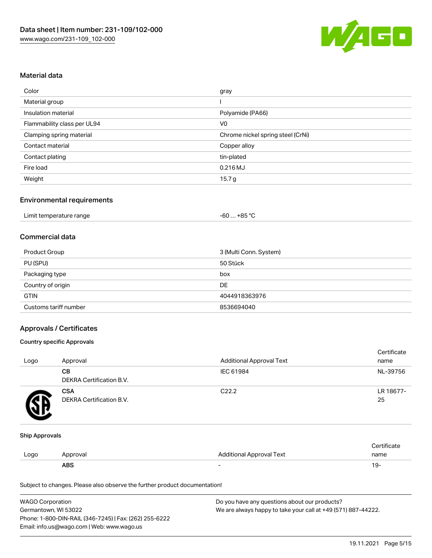

#### Material data

| Color                       | gray                              |
|-----------------------------|-----------------------------------|
| Material group              |                                   |
| Insulation material         | Polyamide (PA66)                  |
| Flammability class per UL94 | V <sub>0</sub>                    |
| Clamping spring material    | Chrome nickel spring steel (CrNi) |
| Contact material            | Copper alloy                      |
| Contact plating             | tin-plated                        |
| Fire load                   | 0.216 MJ                          |
| Weight                      | 15.7 <sub>g</sub>                 |

### Environmental requirements

| Limit temperature range<br>$\blacksquare$ . The contract of the contract of the contract of the contract of the contract of the contract of the contract of the contract of the contract of the contract of the contract of the contract of the contract of the | -60 … +85 °C |  |
|-----------------------------------------------------------------------------------------------------------------------------------------------------------------------------------------------------------------------------------------------------------------|--------------|--|
|-----------------------------------------------------------------------------------------------------------------------------------------------------------------------------------------------------------------------------------------------------------------|--------------|--|

#### Commercial data

| Product Group         | 3 (Multi Conn. System) |
|-----------------------|------------------------|
| PU (SPU)              | 50 Stück               |
| Packaging type        | box                    |
| Country of origin     | DE                     |
| <b>GTIN</b>           | 4044918363976          |
| Customs tariff number | 8536694040             |

#### Approvals / Certificates

#### Country specific Approvals

| Logo | Approval                               | <b>Additional Approval Text</b> | Certificate<br>name |
|------|----------------------------------------|---------------------------------|---------------------|
|      | CВ<br>DEKRA Certification B.V.         | IEC 61984                       | NL-39756            |
|      | <b>CSA</b><br>DEKRA Certification B.V. | C <sub>22.2</sub>               | LR 18677-<br>25     |

#### Ship Approvals

|      | ABS      |                          | - ك ا       |
|------|----------|--------------------------|-------------|
| Logo | Approval | Additional Approval Text | name        |
|      |          |                          | ∵ertificate |

Subject to changes. Please also observe the further product documentation!

| <b>WAGO Corporation</b>                                | Do you have any questions about our products?                 |
|--------------------------------------------------------|---------------------------------------------------------------|
| Germantown, WI 53022                                   | We are always happy to take your call at +49 (571) 887-44222. |
| Phone: 1-800-DIN-RAIL (346-7245)   Fax: (262) 255-6222 |                                                               |
| Email: info.us@wago.com   Web: www.wago.us             |                                                               |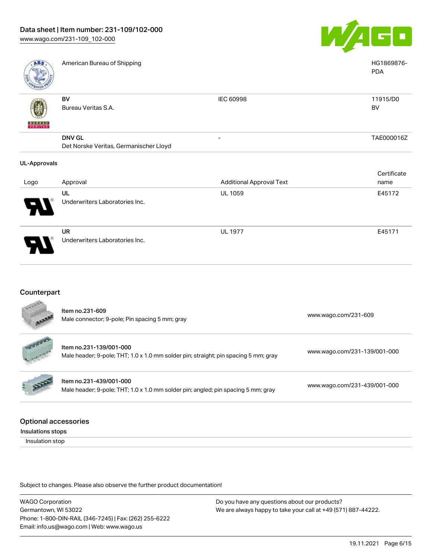Underwriters Laboratories Inc.



| <b>ABS</b>          | American Bureau of Shipping                             |                                 | HG1869876-<br><b>PDA</b> |
|---------------------|---------------------------------------------------------|---------------------------------|--------------------------|
| <b>BUNEAU</b>       | <b>BV</b><br>Bureau Veritas S.A.                        | IEC 60998                       | 11915/D0<br>BV           |
|                     | <b>DNV GL</b><br>Det Norske Veritas, Germanischer Lloyd |                                 | TAE000016Z               |
| <b>UL-Approvals</b> |                                                         |                                 |                          |
|                     |                                                         |                                 | Certificate              |
| Logo                | Approval                                                | <b>Additional Approval Text</b> | name                     |
|                     | UL                                                      | <b>UL 1059</b>                  | E45172                   |
|                     | Underwriters Laboratories Inc.                          |                                 |                          |
|                     | <b>UR</b>                                               | <b>UL 1977</b>                  | E45171                   |

## Counterpart

| <b>450000</b> | Item no.231-609<br>Male connector; 9-pole; Pin spacing 5 mm; gray                                              | www.wago.com/231-609         |
|---------------|----------------------------------------------------------------------------------------------------------------|------------------------------|
| data ta san   | Item no.231-139/001-000<br>Male header; 9-pole; THT; 1.0 x 1.0 mm solder pin; straight; pin spacing 5 mm; gray | www.wago.com/231-139/001-000 |
| RE            | Item no.231-439/001-000<br>Male header; 9-pole; THT; 1.0 x 1.0 mm solder pin; angled; pin spacing 5 mm; gray   | www.wago.com/231-439/001-000 |
|               |                                                                                                                |                              |

#### Optional accessories

Insulations stops

Insulation stop

Subject to changes. Please also observe the further product documentation!

WAGO Corporation Germantown, WI 53022 Phone: 1-800-DIN-RAIL (346-7245) | Fax: (262) 255-6222 Email: info.us@wago.com | Web: www.wago.us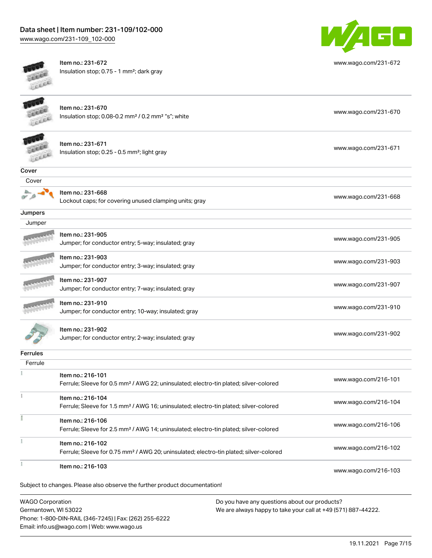[www.wago.com/231-109\\_102-000](http://www.wago.com/231-109_102-000)



Item no.: 231-672 Insulation stop; 0.75 - 1 mm²; dark gray



[www.wago.com/231-672](http://www.wago.com/231-672)

Item no.: 231-670 Insulation stop; 0.08-0.2 mm<sup>2</sup> / 0.2 mm<sup>2</sup> "s"; white [www.wago.com/231-670](http://www.wago.com/231-670) www.wago.com/231-670



Item no.: 231-671 Insulation stop; 0.25 - 0.5 mm²; light gray [www.wago.com/231-671](http://www.wago.com/231-671) www.wago.com/231-671



Item no.: 231-668 Lockout caps; for covering unused clamping units; gray [www.wago.com/231-668](http://www.wago.com/231-668)

**Jumpers** 

| Jumper          |                                                                           |                      |
|-----------------|---------------------------------------------------------------------------|----------------------|
|                 | Item no.: 231-905<br>Jumper; for conductor entry; 5-way; insulated; gray  | www.wago.com/231-905 |
|                 | Item no.: 231-903<br>Jumper; for conductor entry; 3-way; insulated; gray  | www.wago.com/231-903 |
|                 | Item no.: 231-907<br>Jumper; for conductor entry; 7-way; insulated; gray  | www.wago.com/231-907 |
| <b>CANADARY</b> | Item no.: 231-910<br>Jumper; for conductor entry; 10-way; insulated; gray | www.wago.com/231-910 |

| Item no.: 231-902                                   | www.wago.com/231-902 |
|-----------------------------------------------------|----------------------|
| Jumper; for conductor entry; 2-way; insulated; gray |                      |

Ferrules

| Ferrule |                                                                                                    |                      |
|---------|----------------------------------------------------------------------------------------------------|----------------------|
|         | Item no.: 216-101                                                                                  |                      |
|         | Ferrule; Sleeve for 0.5 mm <sup>2</sup> / AWG 22; uninsulated; electro-tin plated; silver-colored  | www.wago.com/216-101 |
|         | Item no.: 216-104                                                                                  |                      |
|         | Ferrule; Sleeve for 1.5 mm <sup>2</sup> / AWG 16; uninsulated; electro-tin plated; silver-colored  | www.wago.com/216-104 |
|         | Item no.: 216-106                                                                                  |                      |
|         | Ferrule; Sleeve for 2.5 mm <sup>2</sup> / AWG 14; uninsulated; electro-tin plated; silver-colored  | www.wago.com/216-106 |
|         | Item no.: 216-102                                                                                  |                      |
|         | Ferrule; Sleeve for 0.75 mm <sup>2</sup> / AWG 20; uninsulated; electro-tin plated; silver-colored | www.wago.com/216-102 |
|         | Item no.: 216-103                                                                                  |                      |
|         |                                                                                                    | www.wago.com/216-103 |

Subject to changes. Please also observe the further product documentation!

WAGO Corporation Germantown, WI 53022 Phone: 1-800-DIN-RAIL (346-7245) | Fax: (262) 255-6222 Email: info.us@wago.com | Web: www.wago.us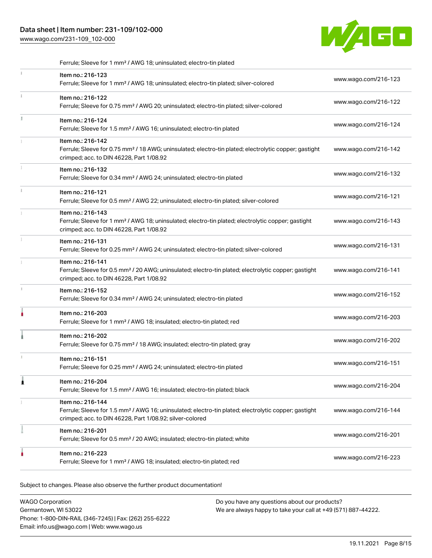[www.wago.com/231-109\\_102-000](http://www.wago.com/231-109_102-000)



|    | Ferrule; Sleeve for 1 mm <sup>2</sup> / AWG 18; uninsulated; electro-tin plated                                                                                                                   |                      |
|----|---------------------------------------------------------------------------------------------------------------------------------------------------------------------------------------------------|----------------------|
| Î. | Item no.: 216-123<br>Ferrule; Sleeve for 1 mm <sup>2</sup> / AWG 18; uninsulated; electro-tin plated; silver-colored                                                                              | www.wago.com/216-123 |
| Î. | Item no.: 216-122<br>Ferrule; Sleeve for 0.75 mm <sup>2</sup> / AWG 20; uninsulated; electro-tin plated; silver-colored                                                                           | www.wago.com/216-122 |
|    | Item no.: 216-124<br>Ferrule; Sleeve for 1.5 mm <sup>2</sup> / AWG 16; uninsulated; electro-tin plated                                                                                            | www.wago.com/216-124 |
|    | Item no.: 216-142<br>Ferrule; Sleeve for 0.75 mm <sup>2</sup> / 18 AWG; uninsulated; electro-tin plated; electrolytic copper; gastight<br>crimped; acc. to DIN 46228, Part 1/08.92                | www.wago.com/216-142 |
|    | Item no.: 216-132<br>Ferrule; Sleeve for 0.34 mm <sup>2</sup> / AWG 24; uninsulated; electro-tin plated                                                                                           | www.wago.com/216-132 |
| i. | Item no.: 216-121<br>Ferrule; Sleeve for 0.5 mm <sup>2</sup> / AWG 22; uninsulated; electro-tin plated; silver-colored                                                                            | www.wago.com/216-121 |
|    | Item no.: 216-143<br>Ferrule; Sleeve for 1 mm <sup>2</sup> / AWG 18; uninsulated; electro-tin plated; electrolytic copper; gastight<br>crimped; acc. to DIN 46228, Part 1/08.92                   | www.wago.com/216-143 |
| ĵ. | Item no.: 216-131<br>Ferrule; Sleeve for 0.25 mm <sup>2</sup> / AWG 24; uninsulated; electro-tin plated; silver-colored                                                                           | www.wago.com/216-131 |
|    | Item no.: 216-141<br>Ferrule; Sleeve for 0.5 mm <sup>2</sup> / 20 AWG; uninsulated; electro-tin plated; electrolytic copper; gastight<br>crimped; acc. to DIN 46228, Part 1/08.92                 | www.wago.com/216-141 |
| J. | Item no.: 216-152<br>Ferrule; Sleeve for 0.34 mm <sup>2</sup> / AWG 24; uninsulated; electro-tin plated                                                                                           | www.wago.com/216-152 |
|    | Item no.: 216-203<br>Ferrule; Sleeve for 1 mm <sup>2</sup> / AWG 18; insulated; electro-tin plated; red                                                                                           | www.wago.com/216-203 |
|    | Item no.: 216-202<br>Ferrule; Sleeve for 0.75 mm <sup>2</sup> / 18 AWG; insulated; electro-tin plated; gray                                                                                       | www.wago.com/216-202 |
| x  | Item no.: 216-151<br>Ferrule; Sleeve for 0.25 mm <sup>2</sup> / AWG 24; uninsulated; electro-tin plated                                                                                           | www.wago.com/216-151 |
| 1  | Item no.: 216-204<br>Ferrule; Sleeve for 1.5 mm <sup>2</sup> / AWG 16; insulated; electro-tin plated; black                                                                                       | www.wago.com/216-204 |
|    | Item no.: 216-144<br>Ferrule; Sleeve for 1.5 mm <sup>2</sup> / AWG 16; uninsulated; electro-tin plated; electrolytic copper; gastight<br>crimped; acc. to DIN 46228, Part 1/08.92; silver-colored | www.wago.com/216-144 |
|    | Item no.: 216-201<br>Ferrule; Sleeve for 0.5 mm <sup>2</sup> / 20 AWG; insulated; electro-tin plated; white                                                                                       | www.wago.com/216-201 |
|    | Item no.: 216-223<br>Ferrule; Sleeve for 1 mm <sup>2</sup> / AWG 18; insulated; electro-tin plated; red                                                                                           | www.wago.com/216-223 |

Subject to changes. Please also observe the further product documentation!

| <b>WAGO Corporation</b>                                | Do you have any questions about our products?                 |
|--------------------------------------------------------|---------------------------------------------------------------|
| Germantown, WI 53022                                   | We are always happy to take your call at +49 (571) 887-44222. |
| Phone: 1-800-DIN-RAIL (346-7245)   Fax: (262) 255-6222 |                                                               |
| Email: info.us@wago.com   Web: www.wago.us             |                                                               |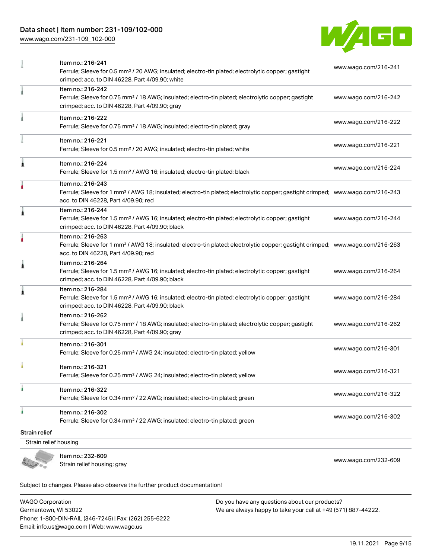[www.wago.com/231-109\\_102-000](http://www.wago.com/231-109_102-000)



|                       | Strain relief housing; gray                                                                                                                                                                             | www.wago.com/232-609 |
|-----------------------|---------------------------------------------------------------------------------------------------------------------------------------------------------------------------------------------------------|----------------------|
|                       | Item no.: 232-609                                                                                                                                                                                       |                      |
| Strain relief housing |                                                                                                                                                                                                         |                      |
| Strain relief         | Ferrule; Sleeve for 0.34 mm <sup>2</sup> / 22 AWG; insulated; electro-tin plated; green                                                                                                                 | www.wago.com/216-302 |
| ٠                     | Item no.: 216-322<br>Ferrule; Sleeve for 0.34 mm <sup>2</sup> / 22 AWG; insulated; electro-tin plated; green<br>Item no.: 216-302                                                                       | www.wago.com/216-322 |
|                       | Item no.: 216-321<br>Ferrule; Sleeve for 0.25 mm <sup>2</sup> / AWG 24; insulated; electro-tin plated; yellow                                                                                           | www.wago.com/216-321 |
|                       | Item no.: 216-301<br>Ferrule; Sleeve for 0.25 mm <sup>2</sup> / AWG 24; insulated; electro-tin plated; yellow                                                                                           | www.wago.com/216-301 |
|                       | Item no.: 216-262<br>Ferrule; Sleeve for 0.75 mm <sup>2</sup> / 18 AWG; insulated; electro-tin plated; electrolytic copper; gastight<br>crimped; acc. to DIN 46228, Part 4/09.90; gray                  | www.wago.com/216-262 |
| Ă                     | Item no.: 216-284<br>Ferrule; Sleeve for 1.5 mm <sup>2</sup> / AWG 16; insulated; electro-tin plated; electrolytic copper; gastight<br>crimped; acc. to DIN 46228, Part 4/09.90; black                  | www.wago.com/216-284 |
| Ă                     | Item no.: 216-264<br>Ferrule; Sleeve for 1.5 mm <sup>2</sup> / AWG 16; insulated; electro-tin plated; electrolytic copper; gastight<br>crimped; acc. to DIN 46228, Part 4/09.90; black                  | www.wago.com/216-264 |
| ۸                     | Item no.: 216-263<br>Ferrule; Sleeve for 1 mm <sup>2</sup> / AWG 18; insulated; electro-tin plated; electrolytic copper; gastight crimped; www.wago.com/216-263<br>acc. to DIN 46228, Part 4/09.90; red |                      |
| 1                     | Item no.: 216-244<br>Ferrule; Sleeve for 1.5 mm <sup>2</sup> / AWG 16; insulated; electro-tin plated; electrolytic copper; gastight<br>crimped; acc. to DIN 46228, Part 4/09.90; black                  | www.wago.com/216-244 |
|                       | Item no.: 216-243<br>Ferrule; Sleeve for 1 mm <sup>2</sup> / AWG 18; insulated; electro-tin plated; electrolytic copper; gastight crimped; www.wago.com/216-243<br>acc. to DIN 46228, Part 4/09.90; red |                      |
| Ă                     | Item no.: 216-224<br>Ferrule; Sleeve for 1.5 mm <sup>2</sup> / AWG 16; insulated; electro-tin plated; black                                                                                             | www.wago.com/216-224 |
|                       | Item no.: 216-221<br>Ferrule; Sleeve for 0.5 mm <sup>2</sup> / 20 AWG; insulated; electro-tin plated; white                                                                                             | www.wago.com/216-221 |
|                       | Item no.: 216-222<br>Ferrule; Sleeve for 0.75 mm <sup>2</sup> / 18 AWG; insulated; electro-tin plated; gray                                                                                             | www.wago.com/216-222 |
|                       | Item no.: 216-242<br>Ferrule; Sleeve for 0.75 mm <sup>2</sup> / 18 AWG; insulated; electro-tin plated; electrolytic copper; gastight<br>crimped; acc. to DIN 46228, Part 4/09.90; gray                  | www.wago.com/216-242 |
|                       | Item no.: 216-241<br>Ferrule; Sleeve for 0.5 mm <sup>2</sup> / 20 AWG; insulated; electro-tin plated; electrolytic copper; gastight<br>crimped; acc. to DIN 46228, Part 4/09.90; white                  | www.wago.com/216-241 |

Subject to changes. Please also observe the further product documentation! Tools

WAGO Corporation Germantown, WI 53022 Phone: 1-800-DIN-RAIL (346-7245) | Fax: (262) 255-6222 Email: info.us@wago.com | Web: www.wago.us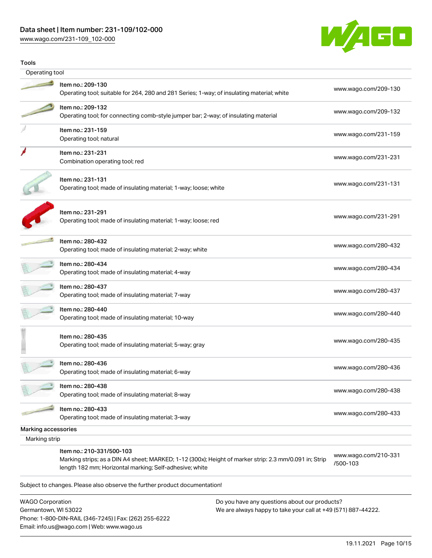[www.wago.com/231-109\\_102-000](http://www.wago.com/231-109_102-000)

WAGO Corporation Germantown, WI 53022

Phone: 1-800-DIN-RAIL (346-7245) | Fax: (262) 255-6222

Email: info.us@wago.com | Web: www.wago.us



| Tools               |                                                                                                                                     |                                  |
|---------------------|-------------------------------------------------------------------------------------------------------------------------------------|----------------------------------|
| Operating tool      |                                                                                                                                     |                                  |
|                     | Item no.: 209-130<br>Operating tool; suitable for 264, 280 and 281 Series; 1-way; of insulating material; white                     | www.wago.com/209-130             |
|                     | Item no.: 209-132<br>Operating tool; for connecting comb-style jumper bar; 2-way; of insulating material                            | www.wago.com/209-132             |
|                     | Item no.: 231-159<br>Operating tool; natural                                                                                        | www.wago.com/231-159             |
|                     | Item no.: 231-231<br>Combination operating tool; red                                                                                | www.wago.com/231-231             |
|                     | Item no.: 231-131<br>Operating tool; made of insulating material; 1-way; loose; white                                               | www.wago.com/231-131             |
|                     | Item no.: 231-291<br>Operating tool; made of insulating material; 1-way; loose; red                                                 | www.wago.com/231-291             |
|                     | Item no.: 280-432<br>Operating tool; made of insulating material; 2-way; white                                                      | www.wago.com/280-432             |
|                     | Item no.: 280-434<br>Operating tool; made of insulating material; 4-way                                                             | www.wago.com/280-434             |
|                     | Item no.: 280-437<br>Operating tool; made of insulating material; 7-way                                                             | www.wago.com/280-437             |
|                     | Item no.: 280-440<br>Operating tool; made of insulating material; 10-way                                                            | www.wago.com/280-440             |
|                     | Item no.: 280-435<br>Operating tool; made of insulating material; 5-way; gray                                                       | www.wago.com/280-435             |
|                     | Item no.: 280-436<br>Operating tool; made of insulating material; 6-way                                                             | www.wago.com/280-436             |
|                     | Item no.: 280-438<br>Operating tool; made of insulating material; 8-way                                                             | www.wago.com/280-438             |
|                     | Item no.: 280-433<br>Operating tool; made of insulating material; 3-way                                                             | www.wago.com/280-433             |
| Marking accessories |                                                                                                                                     |                                  |
| Marking strip       |                                                                                                                                     |                                  |
|                     | Item no.: 210-331/500-103<br>Marking strips; as a DIN A4 sheet; MARKED; 1-12 (300x); Height of marker strip: 2.3 mm/0.091 in; Strip | www.wago.com/210-331<br>/500-103 |

Do you have any questions about our products?

We are always happy to take your call at +49 (571) 887-44222.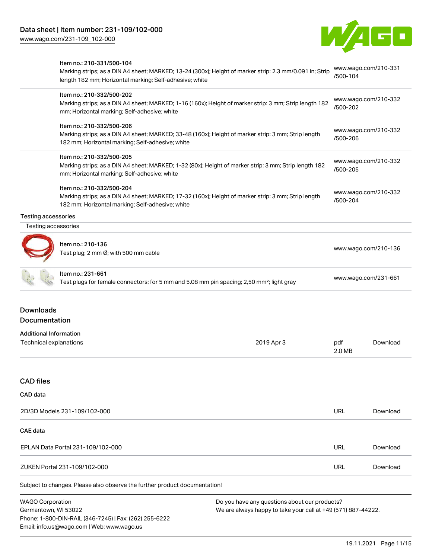Item no.: 210-331/500-104



## Marking strips; as a DIN A4 sheet; MARKED; 13-24 (300x); Height of marker strip: 2.3 mm/0.091 in; Strip length 182 mm; Horizontal marking; Self-adhesive; white [www.wago.com/210-331](http://www.wago.com/210-331/500-104) [/500-104](http://www.wago.com/210-331/500-104) Item no.: 210-332/500-202 Marking strips; as a DIN A4 sheet; MARKED; 1-16 (160x); Height of marker strip: 3 mm; Strip length 182 mm; Horizontal marking; Self-adhesive; white [www.wago.com/210-332](http://www.wago.com/210-332/500-202) [/500-202](http://www.wago.com/210-332/500-202) Item no.: 210-332/500-206 Marking strips; as a DIN A4 sheet; MARKED; 33-48 (160x); Height of marker strip: 3 mm; Strip length 182 mm; Horizontal marking; Self-adhesive; white [www.wago.com/210-332](http://www.wago.com/210-332/500-206) [/500-206](http://www.wago.com/210-332/500-206) Item no.: 210-332/500-205 Marking strips; as a DIN A4 sheet; MARKED; 1-32 (80x); Height of marker strip: 3 mm; Strip length 182 mm; Horizontal marking; Self-adhesive; white [www.wago.com/210-332](http://www.wago.com/210-332/500-205) [/500-205](http://www.wago.com/210-332/500-205) Item no.: 210-332/500-204 Marking strips; as a DIN A4 sheet; MARKED; 17-32 (160x); Height of marker strip: 3 mm; Strip length 182 mm; Horizontal marking; Self-adhesive; white [www.wago.com/210-332](http://www.wago.com/210-332/500-204) [/500-204](http://www.wago.com/210-332/500-204) Testing accessories Testing accessories Item no.: 210-136 Test plug; 2 mm Ø; with 500 mm cable [www.wago.com/210-136](http://www.wago.com/210-136) Item no.: 231-661 Test plugs for female connectors; for 5 mm and 5.08 mm pin spacing; 2,50 mm²; light gray [www.wago.com/231-661](http://www.wago.com/231-661) Downloads Documentation Additional Information Technical explanations 2019 Apr 3 pdf 2.0 MB [Download](https://www.wago.com/global/d/1435602) CAD files CAD data 2D/3D Models 231-109/102-000 URL [Download](https://www.wago.com/global/d/3D_URLS_231-109_102-000) CAE data EPLAN Data Portal 231-109/102-000 URL [Download](https://www.wago.com/global/d/EPLAN_URLS_231-109%252F102-000) ZUKEN Portal 231-109/102-000 URL [Download](https://www.wago.com/global/d/Zuken_URLS_231-109_102-000)

Subject to changes. Please also observe the further product documentation!

WAGO Corporation Germantown, WI 53022 Phone: 1-800-DIN-RAIL (346-7245) | Fax: (262) 255-6222 Email: info.us@wago.com | Web: www.wago.us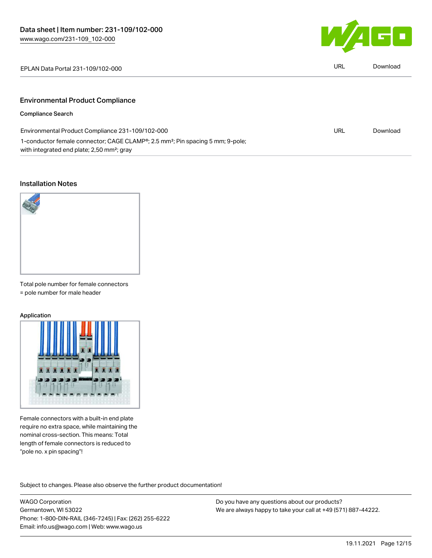

| EPLAN Data Portal 231-109/102-000                                                                                                                                 | URL | Download |
|-------------------------------------------------------------------------------------------------------------------------------------------------------------------|-----|----------|
| <b>Environmental Product Compliance</b>                                                                                                                           |     |          |
| <b>Compliance Search</b>                                                                                                                                          |     |          |
| Environmental Product Compliance 231-109/102-000                                                                                                                  | URL | Download |
| 1-conductor female connector; CAGE CLAMP <sup>®</sup> ; 2.5 mm <sup>2</sup> ; Pin spacing 5 mm; 9-pole;<br>with integrated end plate; 2,50 mm <sup>2</sup> ; gray |     |          |

#### Installation Notes



Total pole number for female connectors

= pole number for male header

#### Application



Female connectors with a built-in end plate require no extra space, while maintaining the nominal cross-section. This means: Total length of female connectors is reduced to "pole no. x pin spacing"!

Subject to changes. Please also observe the further product documentation!

WAGO Corporation Germantown, WI 53022 Phone: 1-800-DIN-RAIL (346-7245) | Fax: (262) 255-6222 Email: info.us@wago.com | Web: www.wago.us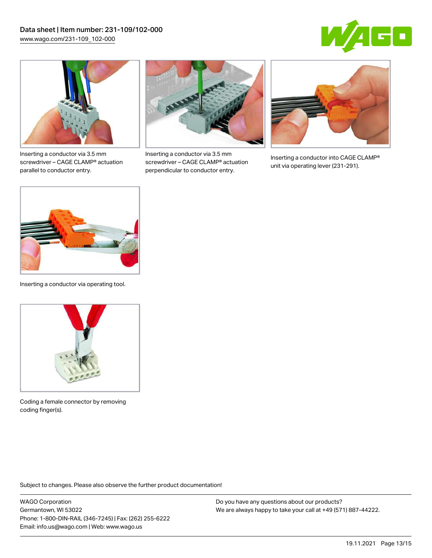



Inserting a conductor via 3.5 mm screwdriver – CAGE CLAMP® actuation parallel to conductor entry.



Inserting a conductor via 3.5 mm screwdriver – CAGE CLAMP® actuation perpendicular to conductor entry.



Inserting a conductor into CAGE CLAMP® unit via operating lever (231-291).



Inserting a conductor via operating tool.



Coding a female connector by removing coding finger(s).

Subject to changes. Please also observe the further product documentation!

WAGO Corporation Germantown, WI 53022 Phone: 1-800-DIN-RAIL (346-7245) | Fax: (262) 255-6222 Email: info.us@wago.com | Web: www.wago.us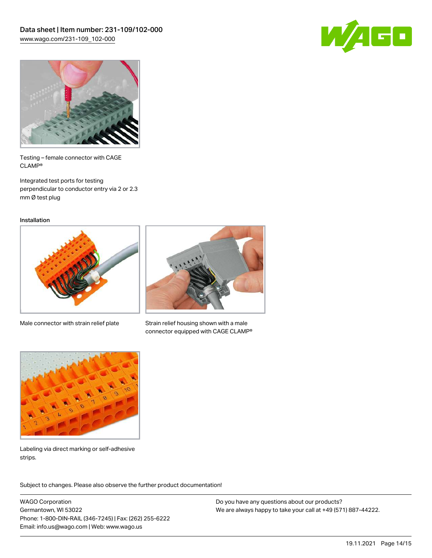



Testing – female connector with CAGE CLAMP®

Integrated test ports for testing perpendicular to conductor entry via 2 or 2.3 mm Ø test plug

Installation



Male connector with strain relief plate



Strain relief housing shown with a male connector equipped with CAGE CLAMP®



Labeling via direct marking or self-adhesive strips.

Subject to changes. Please also observe the further product documentation! Product family

WAGO Corporation Germantown, WI 53022 Phone: 1-800-DIN-RAIL (346-7245) | Fax: (262) 255-6222 Email: info.us@wago.com | Web: www.wago.us